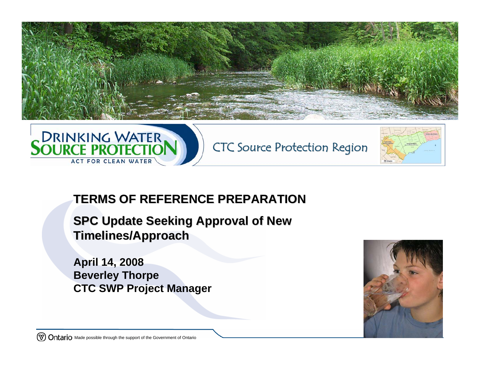





## **TERMS OF REFERENCE PREPARATION TERMS OF REFERENCE PREPARATION**

**SPC Update Seeking Approval of New Timelines/Approach Timelines/Approach**

**April 14, 2008 Beverley Thorpe CTC SWP Project Manager**

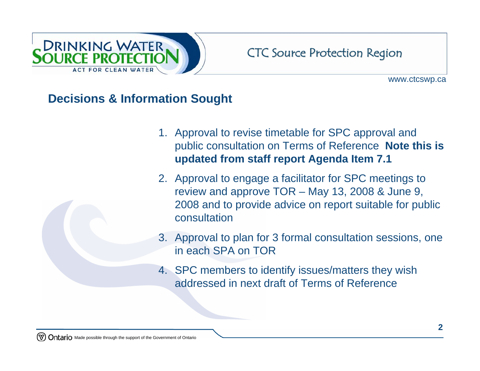

www.ctcswp.ca

## **Decisions & Information Sought**

- 1. Approval to revise timetable for SPC approval and public consultation on Terms of Reference **Note this is updated from staff report Agenda Item 7.1**
- 2. Approval to engage a facilitator for SPC meetings to review and approve TOR – May 13, 2008 & June 9, 2008 and to provide advice on report suitable for public consultation
- 3. Approval to plan for 3 formal consultation sessions, one in each SPA on TOR
- 4. SPC members to identify issues/matters they wish addressed in next draft of Terms of Reference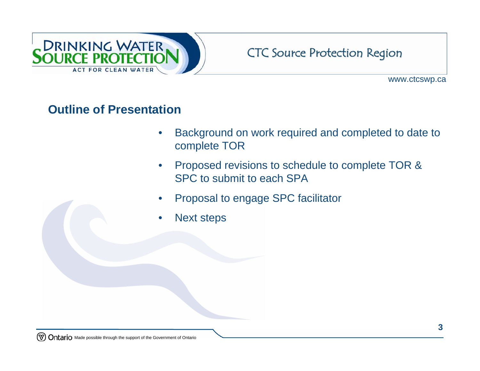

www.ctcswp.ca

## **Outline of Presentation**

- Background on work required and completed to date to complete TOR
- Proposed revisions to schedule to complete TOR & SPC to submit to each SPA
- Proposal to engage SPC facilitator
- Next steps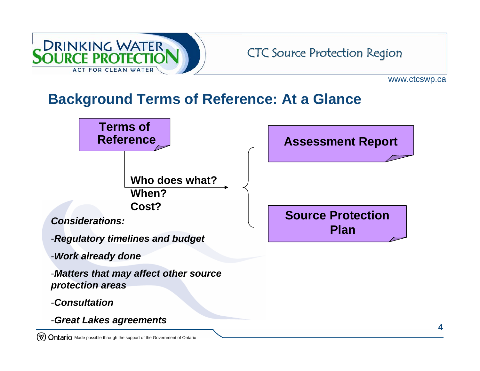

www.ctcswp.ca

**4**

## **Background Terms of Reference: At a Glance**



Ontario Made possible through the support of the Government of Ontario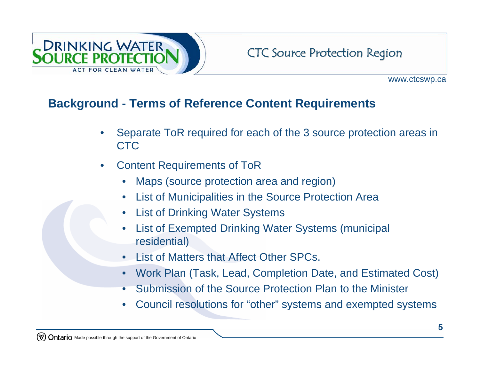

## **Background - Terms of Reference Content Requirements**

- Separate ToR required for each of the 3 source protection areas in CTC
- Content Requirements of ToR
	- Maps (source protection area and region)
	- List of Municipalities in the Source Protection Area
	- **List of Drinking Water Systems**
	- List of Exempted Drinking Water Systems (municipal residential)
	- List of Matters that Affect Other SPCs.
	- Work Plan (Task, Lead, Completion Date, and Estimated Cost)
	- Submission of the Source Protection Plan to the Minister
	- Council resolutions for "other" systems and exempted systems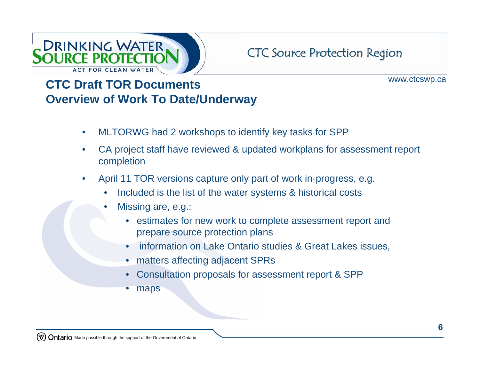

www.ctcswp.ca

## **CTC Draft TOR Documents Overview of Work To Date/Underway**

- MLTORWG had 2 workshops to identify key tasks for SPP
- CA project staff have reviewed & updated workplans for assessment report completion
- April 11 TOR versions capture only part of work in-progress, e.g.
	- Included is the list of the water systems & historical costs
	- Missing are, e.g.:
		- estimates for new work to complete assessment report and prepare source protection plans
		- information on Lake Ontario studies & Great Lakes issues,
		- matters affecting adjacent SPRs
		- Consultation proposals for assessment report & SPP
		- maps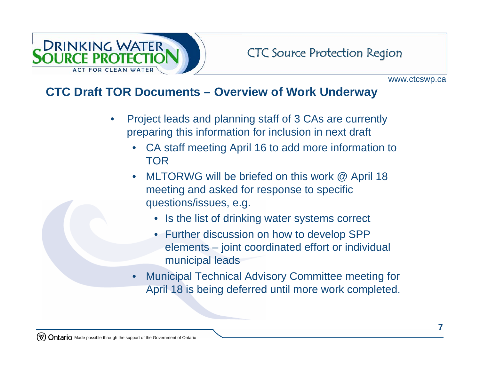

#### **CTC Draft TOR Documents – Overview of Work Underway**

- Project leads and planning staff of 3 CAs are currently preparing this information for inclusion in next draft
	- CA staff meeting April 16 to add more information to TOR
	- MLTORWG will be briefed on this work @ April 18 meeting and asked for response to specific questions/issues, e.g.
		- Is the list of drinking water systems correct
		- Further discussion on how to develop SPP elements – joint coordinated effort or individual municipal leads
	- Municipal Technical Advisory Committee meeting for April 18 is being deferred until more work completed.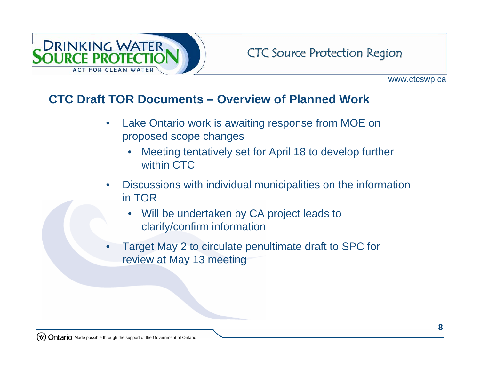

## **CTC Draft TOR Documents – Overview of Planned Work**

- Lake Ontario work is awaiting response from MOE on proposed scope changes
	- Meeting tentatively set for April 18 to develop further within CTC
- Discussions with individual municipalities on the information in TOR
	- Will be undertaken by CA project leads to clarify/confirm information
- Target May 2 to circulate penultimate draft to SPC for review at May 13 meeting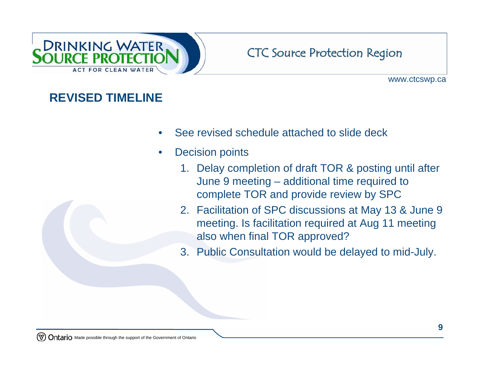

www.ctcswp.ca

## **REVISED TIMELINE**

- See revised schedule attached to slide deck
- **Decision points** 
	- 1. Delay completion of draft TOR & posting until after June 9 meeting – additional time required to complete TOR and provide review by SPC
	- 2. Facilitation of SPC discussions at May 13 & June 9 meeting. Is facilitation required at Aug 11 meeting also when final TOR approved?
	- 3. Public Consultation would be delayed to mid-July.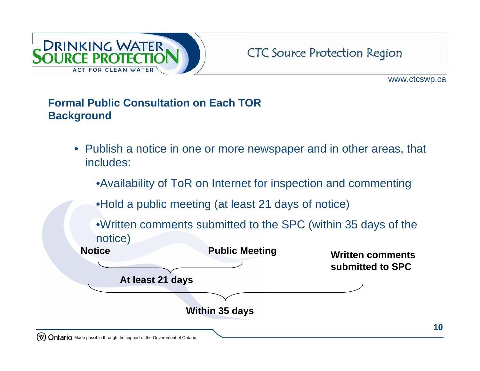

www.ctcswp.ca

#### **Formal Public Consultation on Each TOR Background**

- Publish a notice in one or more newspaper and in other areas, that includes:
	- •Availability of ToR on Internet for inspection and commenting
	- •Hold a public meeting (at least 21 days of notice)
	- •Written comments submitted to the SPC (within 35 days of the notice)

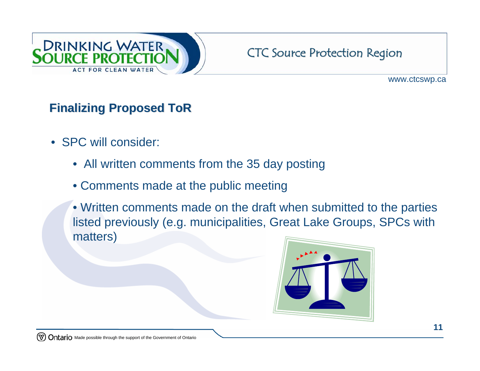

www.ctcswp.ca

## **Finalizing Proposed ToR Finalizing Proposed ToR**

- **SPC will consider:** 
	- All written comments from the 35 day posting
	- Comments made at the public meeting
	- Written comments made on the draft when submitted to the parties listed previously (e.g. municipalities, Great Lake Groups, SPCs with matters)

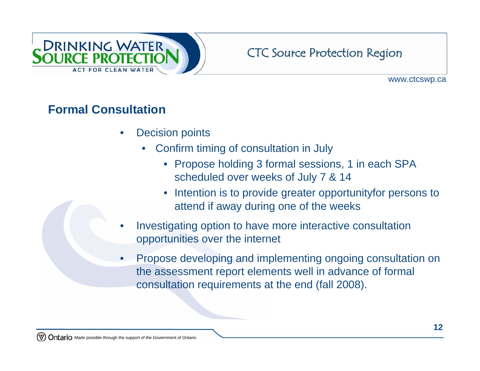

www.ctcswp.ca

## **Formal Consultation**

- **Decision points** 
	- Confirm timing of consultation in July
		- Propose holding 3 formal sessions, 1 in each SPA scheduled over weeks of July 7 & 14
		- Intention is to provide greater opportunityfor persons to attend if away during one of the weeks
- Investigating option to have more interactive consultation opportunities over the internet
- Propose developing and implementing ongoing consultation on the assessment report elements well in advance of formal consultation requirements at the end (fall 2008).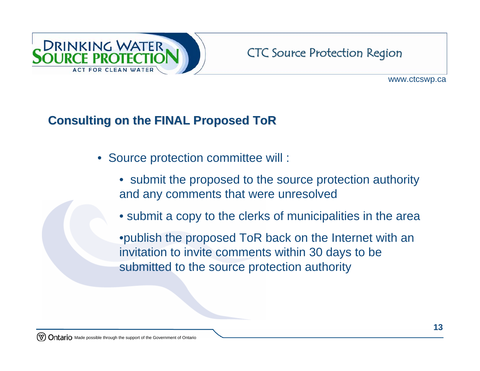

## **Consulting on the FINAL Proposed ToR Consulting on the FINAL Proposed ToR**

- Source protection committee will :
	- submit the proposed to the source protection authority and any comments that were unresolved
	- submit a copy to the clerks of municipalities in the area

•publish the proposed ToR back on the Internet with an invitation to invite comments within 30 days to be submitted to the source protection authority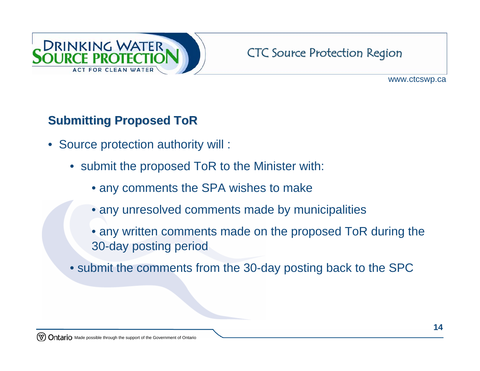

www.ctcswp.ca

## **Submitting Proposed ToR**

- Source protection authority will :
	- submit the proposed ToR to the Minister with:
		- any comments the SPA wishes to make
		- any unresolved comments made by municipalities
		- any written comments made on the proposed ToR during the 30-day posting period
	- submit the comments from the 30-day posting back to the SPC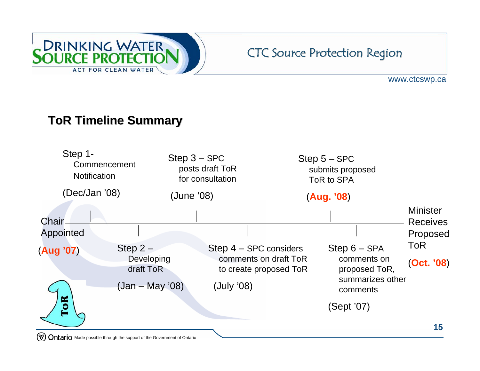

www.ctcswp.ca

## **ToR Timeline Summary ToR Timeline Summary**



(೪) Ontario Made possible through the support of the Government of Ontario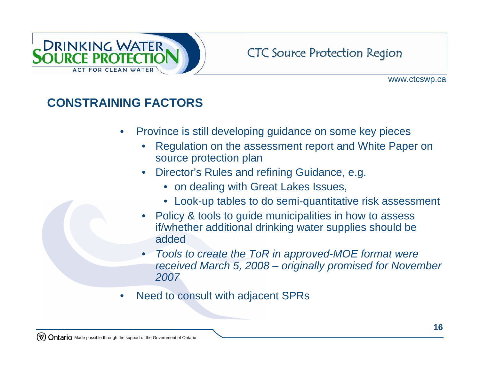

www.ctcswp.ca

## **CONSTRAINING FACTORS**

- Province is still developing guidance on some key pieces
	- Regulation on the assessment report and White Paper on source protection plan
	- Director's Rules and refining Guidance, e.g.
		- on dealing with Great Lakes Issues,
		- Look-up tables to do semi-quantitative risk assessment
	- Policy & tools to guide municipalities in how to assess if/whether additional drinking water supplies should be added
	- *Tools to create the ToR in approved-MOE format were received March 5, 2008 – originally promised for November 2007*
- Need to consult with adjacent SPRs